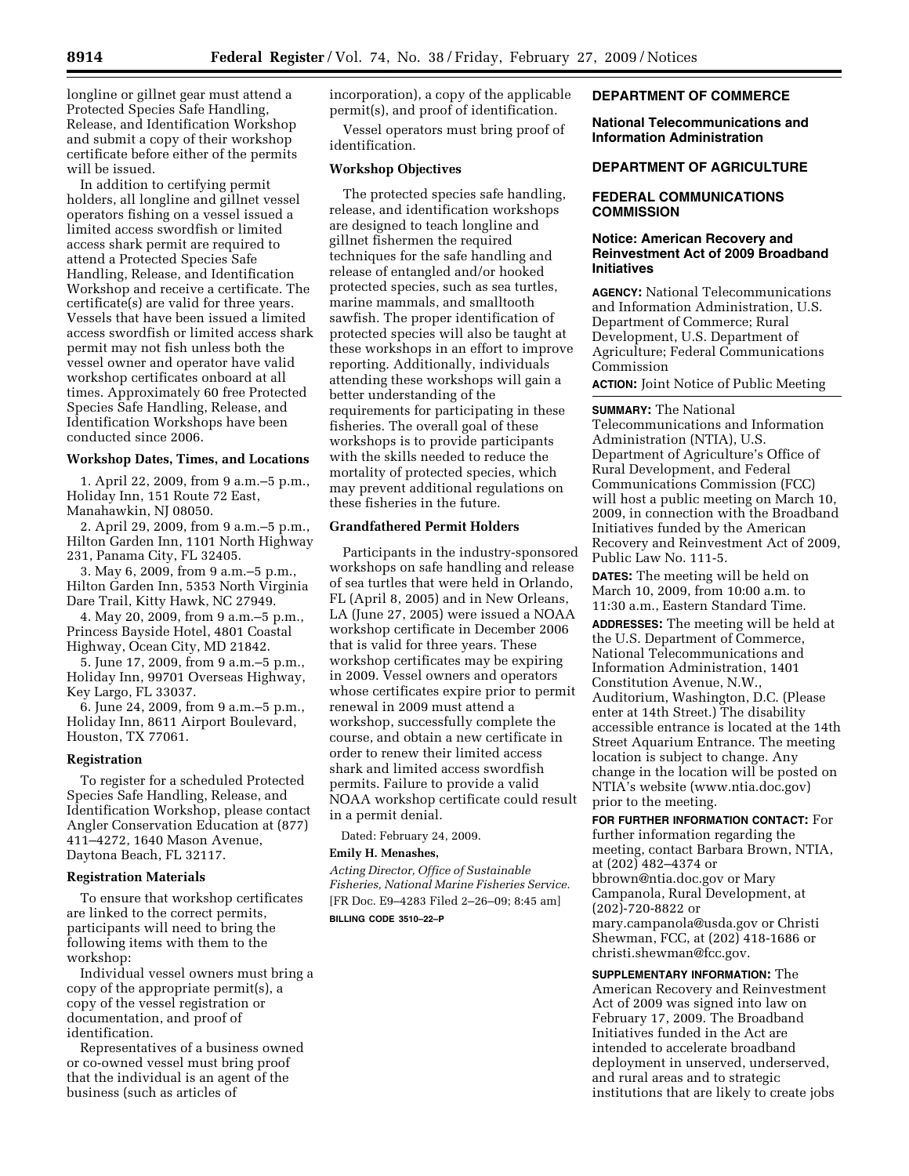longline or gillnet gear must attend a Protected Species Safe Handling, Release, and Identification Workshop and submit a copy of their workshop certificate before either of the permits will be issued.

In addition to certifying permit holders, all longline and gillnet vessel operators fishing on a vessel issued a limited access swordfish or limited access shark permit are required to attend a Protected Species Safe Handling, Release, and Identification Workshop and receive a certificate. The certificate(s) are valid for three years. Vessels that have been issued a limited access swordfish or limited access shark permit may not fish unless both the vessel owner and operator have valid workshop certificates onboard at all times. Approximately 60 free Protected Species Safe Handling, Release, and Identification Workshops have been conducted since 2006.

# **Workshop Dates, Times, and Locations**

1. April 22, 2009, from 9 a.m.–5 p.m., Holiday Inn, 151 Route 72 East, Manahawkin, NJ 08050.

2. April 29, 2009, from 9 a.m.–5 p.m., Hilton Garden Inn, 1101 North Highway 231, Panama City, FL 32405.

3. May 6, 2009, from 9 a.m.–5 p.m., Hilton Garden Inn, 5353 North Virginia Dare Trail, Kitty Hawk, NC 27949.

4. May 20, 2009, from 9 a.m.–5 p.m., Princess Bayside Hotel, 4801 Coastal Highway, Ocean City, MD 21842.

5. June 17, 2009, from 9 a.m.–5 p.m., Holiday Inn, 99701 Overseas Highway, Key Largo, FL 33037.

6. June 24, 2009, from 9 a.m.–5 p.m., Holiday Inn, 8611 Airport Boulevard, Houston, TX 77061.

### **Registration**

To register for a scheduled Protected Species Safe Handling, Release, and Identification Workshop, please contact Angler Conservation Education at (877) 411–4272, 1640 Mason Avenue, Daytona Beach, FL 32117.

#### **Registration Materials**

To ensure that workshop certificates are linked to the correct permits, participants will need to bring the following items with them to the workshop:

Individual vessel owners must bring a copy of the appropriate permit(s), a copy of the vessel registration or documentation, and proof of identification.

Representatives of a business owned or co-owned vessel must bring proof that the individual is an agent of the business (such as articles of

incorporation), a copy of the applicable permit(s), and proof of identification.

Vessel operators must bring proof of identification.

## **Workshop Objectives**

The protected species safe handling, release, and identification workshops are designed to teach longline and gillnet fishermen the required techniques for the safe handling and release of entangled and/or hooked protected species, such as sea turtles, marine mammals, and smalltooth sawfish. The proper identification of protected species will also be taught at these workshops in an effort to improve reporting. Additionally, individuals attending these workshops will gain a better understanding of the requirements for participating in these fisheries. The overall goal of these workshops is to provide participants with the skills needed to reduce the mortality of protected species, which may prevent additional regulations on these fisheries in the future.

#### **Grandfathered Permit Holders**

Participants in the industry-sponsored workshops on safe handling and release of sea turtles that were held in Orlando, FL (April 8, 2005) and in New Orleans, LA (June 27, 2005) were issued a NOAA workshop certificate in December 2006 that is valid for three years. These workshop certificates may be expiring in 2009. Vessel owners and operators whose certificates expire prior to permit renewal in 2009 must attend a workshop, successfully complete the course, and obtain a new certificate in order to renew their limited access shark and limited access swordfish permits. Failure to provide a valid NOAA workshop certificate could result in a permit denial.

Dated: February 24, 2009.

#### **Emily H. Menashes,**

*Acting Director, Office of Sustainable Fisheries, National Marine Fisheries Service.*  [FR Doc. E9–4283 Filed 2–26–09; 8:45 am] **BILLING CODE 3510–22–P** 

## **DEPARTMENT OF COMMERCE**

**National Telecommunications and Information Administration** 

#### **DEPARTMENT OF AGRICULTURE**

# **FEDERAL COMMUNICATIONS COMMISSION**

### **Notice: American Recovery and Reinvestment Act of 2009 Broadband Initiatives**

**AGENCY:** National Telecommunications and Information Administration, U.S. Department of Commerce; Rural Development, U.S. Department of Agriculture; Federal Communications Commission

**ACTION:** Joint Notice of Public Meeting

**SUMMARY:** The National Telecommunications and Information Administration (NTIA), U.S. Department of Agriculture's Office of Rural Development, and Federal Communications Commission (FCC) will host a public meeting on March 10, 2009, in connection with the Broadband Initiatives funded by the American Recovery and Reinvestment Act of 2009, Public Law No. 111-5.

**DATES:** The meeting will be held on March 10, 2009, from 10:00 a.m. to 11:30 a.m., Eastern Standard Time.

**ADDRESSES:** The meeting will be held at the U.S. Department of Commerce, National Telecommunications and Information Administration, 1401 Constitution Avenue, N.W., Auditorium, Washington, D.C. (Please enter at 14th Street.) The disability accessible entrance is located at the 14th Street Aquarium Entrance. The meeting location is subject to change. Any change in the location will be posted on NTIA's website (www.ntia.doc.gov) prior to the meeting.

**FOR FURTHER INFORMATION CONTACT:** For further information regarding the meeting, contact Barbara Brown, NTIA, at (202) 482–4374 or bbrown@ntia.doc.gov or Mary Campanola, Rural Development, at (202)-720-8822 or mary.campanola@usda.gov or Christi Shewman, FCC, at (202) 418-1686 or christi.shewman@fcc.gov.

**SUPPLEMENTARY INFORMATION:** The American Recovery and Reinvestment Act of 2009 was signed into law on February 17, 2009. The Broadband Initiatives funded in the Act are intended to accelerate broadband deployment in unserved, underserved, and rural areas and to strategic institutions that are likely to create jobs